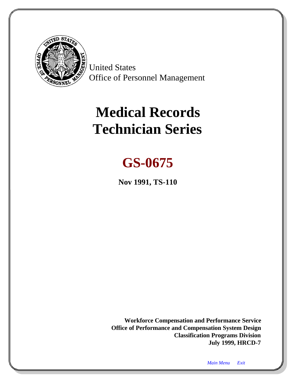<span id="page-0-1"></span><span id="page-0-0"></span>

United States Office of Personnel Management

# **Medical Records Technician Series**

## **GS-0675**

**Nov 1991, TS-110**

**Workforce Compensation and Performance Service Office of Performance and Compensation System Design Classification Programs Division July 1999, HRCD-7**

*Main Menu [Exit](#page-15-0)*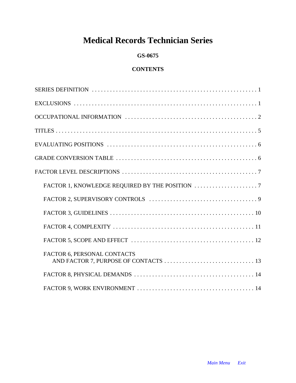## **Medical Records Technician Series**

## **GS-0675**

## **CONTENTS**

| FACTOR 6, PERSONAL CONTACTS |
|-----------------------------|
|                             |
|                             |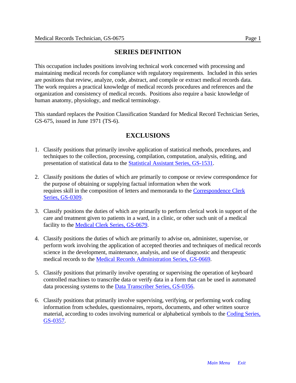## **SERIES DEFINITION**

This occupation includes positions involving technical work concerned with processing and maintaining medical records for compliance with regulatory requirements. Included in this series are positions that review, analyze, code, abstract, and compile or extract medical records data. The work requires a practical knowledge of medical records procedures and references and the organization and consistency of medical records. Positions also require a basic knowledge of human anatomy, physiology, and medical terminology.

This standard replaces the Position Classification Standard for Medical Record Technician Series, GS-675, issued in June 1971 (TS-6).

## **EXCLUSIONS**

- 1. Classify positions that primarily involve application of statistical methods, procedures, and techniques to the collection, processing, compilation, computation, analysis, editing, and presentation of statistical data to the [Statistical Assistant Series, GS-1531.](#page-0-1)
- 2. Classify positions the duties of which are primarily to compose or review correspondence for the purpose of obtaining or supplying factual information when the work requires skill in the composition of letters and memoranda to the [Correspondence Clerk](#page-0-1) [Series, GS-0309.](#page-0-1)
- 3. Classify positions the duties of which are primarily to perform clerical work in support of the care and treatment given to patients in a ward, in a clinic, or other such unit of a medical facility to the [Medical Clerk Series, GS-0679.](#page-0-1)
- 4. Classify positions the duties of which are primarily to advise on, administer, supervise, or perform work involving the application of accepted theories and techniques of medical records science in the development, maintenance, analysis, and use of diagnostic and therapeutic medical records to the [Medical Records Administration Series, GS-0669.](#page-0-1)
- 5. Classify positions that primarily involve operating or supervising the operation of keyboard controlled machines to transcribe data or verify data in a form that can be used in automated data processing systems to the [Data Transcriber Series, GS-0356.](#page-0-1)
- 6. Classify positions that primarily involve supervising, verifying, or performing work coding information from schedules, questionnaires, reports, documents, and other written source material, according to codes involving numerical or alphabetical symbols to th[e Coding Series,](#page-0-1) [GS-0357.](#page-0-1)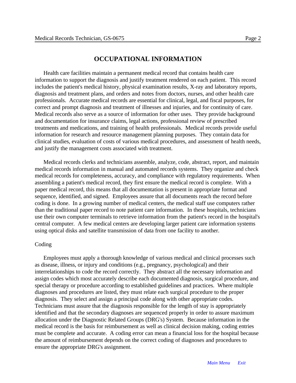#### **OCCUPATIONAL INFORMATION**

Health care facilities maintain a permanent medical record that contains health care information to support the diagnosis and justify treatment rendered on each patient. This record includes the patient's medical history, physical examination results, X-ray and laboratory reports, diagnosis and treatment plans, and orders and notes from doctors, nurses, and other health care professionals. Accurate medical records are essential for clinical, legal, and fiscal purposes, for correct and prompt diagnosis and treatment of illnesses and injuries, and for continuity of care. Medical records also serve as a source of information for other uses. They provide background and documentation for insurance claims, legal actions, professional review of prescribed treatments and medications, and training of health professionals. Medical records provide useful information for research and resource management planning purposes. They contain data for clinical studies, evaluation of costs of various medical procedures, and assessment of health needs, and justify the management costs associated with treatment.

Medical records clerks and technicians assemble, analyze, code, abstract, report, and maintain medical records information in manual and automated records systems. They organize and check medical records for completeness, accuracy, and compliance with regulatory requirements. When assembling a patient's medical record, they first ensure the medical record is complete. With a paper medical record, this means that all documentation is present in appropriate format and sequence, identified, and signed. Employees assure that all documents reach the record before coding is done. In a growing number of medical centers, the medical staff use computers rather than the traditional paper record to note patient care information. In these hospitals, technicians use their own computer terminals to retrieve information from the patient's record in the hospital's central computer. A few medical centers are developing larger patient care information systems using optical disks and satellite transmission of data from one facility to another.

#### Coding

Employees must apply a thorough knowledge of various medical and clinical processes such as disease, illness, or injury and conditions (e.g., pregnancy, psychological) and their interrelationships to code the record correctly. They abstract all the necessary information and assign codes which most accurately describe each documented diagnosis, surgical procedure, and special therapy or procedure according to established guidelines and practices. Where multiple diagnoses and procedures are listed, they must relate each surgical procedure to the proper diagnosis. They select and assign a principal code along with other appropriate codes. Technicians must assure that the diagnosis responsible for the length of stay is appropriately identified and that the secondary diagnoses are sequenced properly in order to assure maximum allocation under the Diagnostic Related Groups (DRG's) System. Because information in the medical record is the basis for reimbursement as well as clinical decision making, coding entries must be complete and accurate. A coding error can mean a financial loss for the hospital because the amount of reimbursement depends on the correct coding of diagnoses and procedures to ensure the appropriate DRG's assignment.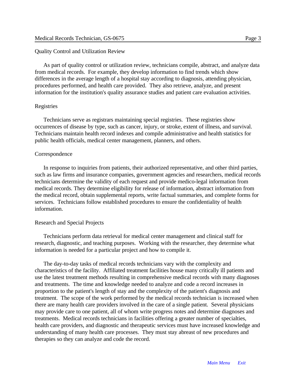#### Quality Control and Utilization Review

As part of quality control or utilization review, technicians compile, abstract, and analyze data from medical records. For example, they develop information to find trends which show differences in the average length of a hospital stay according to diagnosis, attending physician, procedures performed, and health care provided. They also retrieve, analyze, and present information for the institution's quality assurance studies and patient care evaluation activities.

#### Registries

Technicians serve as registrars maintaining special registries. These registries show occurrences of disease by type, such as cancer, injury, or stroke, extent of illness, and survival. Technicians maintain health record indexes and compile administrative and health statistics for public health officials, medical center management, planners, and others.

#### Correspondence

In response to inquiries from patients, their authorized representative, and other third parties, such as law firms and insurance companies, government agencies and researchers, medical records technicians determine the validity of each request and provide medico-legal information from medical records. They determine eligibility for release of information, abstract information from the medical record, obtain supplemental reports, write factual summaries, and complete forms for services. Technicians follow established procedures to ensure the confidentiality of health information.

#### Research and Special Projects

Technicians perform data retrieval for medical center management and clinical staff for research, diagnostic, and teaching purposes. Working with the researcher, they determine what information is needed for a particular project and how to compile it.

The day-to-day tasks of medical records technicians vary with the complexity and characteristics of the facility. Affiliated treatment facilities house many critically ill patients and use the latest treatment methods resulting in comprehensive medical records with many diagnoses and treatments. The time and knowledge needed to analyze and code a record increases in proportion to the patient's length of stay and the complexity of the patient's diagnosis and treatment. The scope of the work performed by the medical records technician is increased when there are many health care providers involved in the care of a single patient. Several physicians may provide care to one patient, all of whom write progress notes and determine diagnoses and treatments. Medical records technicians in facilities offering a greater number of specialties, health care providers, and diagnostic and therapeutic services must have increased knowledge and understanding of many health care processes. They must stay abreast of new procedures and therapies so they can analyze and code the record.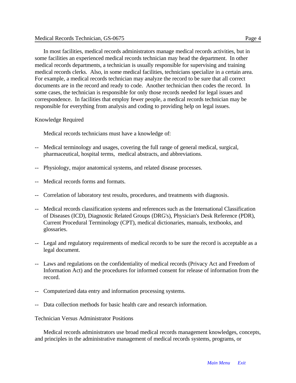In most facilities, medical records administrators manage medical records activities, but in some facilities an experienced medical records technician may head the department. In other medical records departments, a technician is usually responsible for supervising and training medical records clerks. Also, in some medical facilities, technicians specialize in a certain area. For example, a medical records technician may analyze the record to be sure that all correct documents are in the record and ready to code. Another technician then codes the record. In some cases, the technician is responsible for only those records needed for legal issues and correspondence. In facilities that employ fewer people, a medical records technician may be responsible for everything from analysis and coding to providing help on legal issues.

#### Knowledge Required

Medical records technicians must have a knowledge of:

- -- Medical terminology and usages, covering the full range of general medical, surgical, pharmaceutical, hospital terms, medical abstracts, and abbreviations.
- Physiology, major anatomical systems, and related disease processes.
- Medical records forms and formats.
- -- Correlation of laboratory test results, procedures, and treatments with diagnosis.
- -- Medical records classification systems and references such as the International Classification of Diseases (ICD), Diagnostic Related Groups (DRG's), Physician's Desk Reference (PDR), Current Procedural Terminology (CPT), medical dictionaries, manuals, textbooks, and glossaries.
- -- Legal and regulatory requirements of medical records to be sure the record is acceptable as a legal document.
- -- Laws and regulations on the confidentiality of medical records (Privacy Act and Freedom of Information Act) and the procedures for informed consent for release of information from the record.
- -- Computerized data entry and information processing systems.
- -- Data collection methods for basic health care and research information.

Technician Versus Administrator Positions

Medical records administrators use broad medical records management knowledges, concepts, and principles in the administrative management of medical records systems, programs, or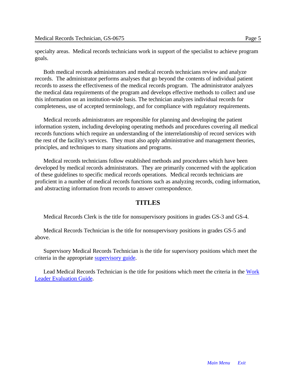specialty areas. Medical records technicians work in support of the specialist to achieve program goals.

Both medical records administrators and medical records technicians review and analyze records. The administrator performs analyses that go beyond the contents of individual patient records to assess the effectiveness of the medical records program. The administrator analyzes the medical data requirements of the program and develops effective methods to collect and use this information on an institution-wide basis. The technician analyzes individual records for completeness, use of accepted terminology, and for compliance with regulatory requirements.

Medical records administrators are responsible for planning and developing the patient information system, including developing operating methods and procedures covering all medical records functions which require an understanding of the interrelationship of record services with the rest of the facility's services. They must also apply administrative and management theories, principles, and techniques to many situations and programs.

Medical records technicians follow established methods and procedures which have been developed by medical records administrators. They are primarily concerned with the application of these guidelines to specific medical records operations. Medical records technicians are proficient in a number of medical records functions such as analyzing records, coding information, and abstracting information from records to answer correspondence.

#### **TITLES**

Medical Records Clerk is the title for nonsupervisory positions in grades GS-3 and GS-4.

Medical Records Technician is the title for nonsupervisory positions in grades GS-5 and above.

Supervisory Medical Records Technician is the title for supervisory positions which meet the criteria in the appropriate [supervisory guide.](#page-0-1)

Lead Medical Records Technician is the title for positions which meet the criteria in the [Work](#page-0-1) [Leader Evaluation Guide.](#page-0-1)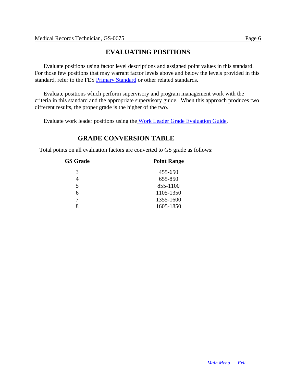## **EVALUATING POSITIONS**

Evaluate positions using factor level descriptions and assigned point values in this standard. For those few positions that may warrant factor levels above and below the levels provided in this standard, refer to the FE[S Primary Standard o](#page-49-0)r other related standards.

Evaluate positions which perform supervisory and program management work with the criteria in this standard and the appropriate supervisory guide. When this approach produces two different results, the proper grade is the higher of the two.

Evaluate work leader positions using the [Work Leader Grade Evaluation Guide.](#page-0-1)

## **GRADE CONVERSION TABLE**

Total points on all evaluation factors are converted to GS grade as follows:

| <b>GS Grade</b>         | <b>Point Range</b> |  |
|-------------------------|--------------------|--|
| 3                       | 455-650            |  |
| 4                       | 655-850            |  |
| $\overline{\mathbf{5}}$ | 855-1100           |  |
| 6                       | 1105-1350          |  |
|                         | 1355-1600          |  |
|                         | 1605-1850          |  |
|                         |                    |  |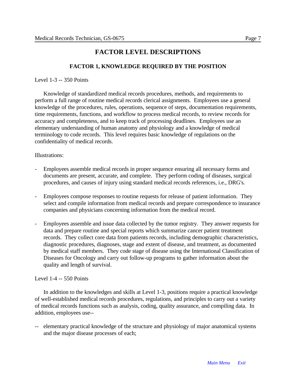## **FACTOR LEVEL DESCRIPTIONS**

### **FACTOR 1, KNOWLEDGE REQUIRED BY THE POSITION**

Level 1-3 -- 350 Points

Knowledge of standardized medical records procedures, methods, and requirements to perform a full range of routine medical records clerical assignments. Employees use a general knowledge of the procedures, rules, operations, sequence of steps, documentation requirements, time requirements, functions, and workflow to process medical records, to review records for accuracy and completeness, and to keep track of processing deadlines. Employees use an elementary understanding of human anatomy and physiology and a knowledge of medical terminology to code records. This level requires basic knowledge of regulations on the confidentiality of medical records.

#### Illustrations:

- Employees assemble medical records in proper sequence ensuring all necessary forms and documents are present, accurate, and complete. They perform coding of diseases, surgical procedures, and causes of injury using standard medical records references, i.e., DRG's.
- Employees compose responses to routine requests for release of patient information. They select and compile information from medical records and prepare correspondence to insurance companies and physicians concerning information from the medical record.
- Employees assemble and issue data collected by the tumor registry. They answer requests for data and prepare routine and special reports which summarize cancer patient treatment records. They collect core data from patients records, including demographic characteristics, diagnostic procedures, diagnoses, stage and extent of disease, and treatment, as documented by medical staff members. They code stage of disease using the International Classification of Diseases for Oncology and carry out follow-up programs to gather information about the quality and length of survival.

#### Level 1-4 -- 550 Points

In addition to the knowledges and skills at Level 1-3, positions require a practical knowledge of well-established medical records procedures, regulations, and principles to carry out a variety of medical records functions such as analysis, coding, quality assurance, and compiling data. In addition, employees use--

elementary practical knowledge of the structure and physiology of major anatomical systems and the major disease processes of each;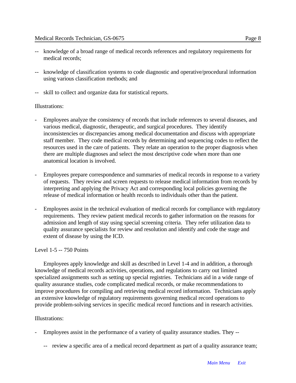- -- knowledge of a broad range of medical records references and regulatory requirements for medical records;
- -- knowledge of classification systems to code diagnostic and operative/procedural information using various classification methods; and
- -- skill to collect and organize data for statistical reports.

#### Illustrations:

- Employees analyze the consistency of records that include references to several diseases, and various medical, diagnostic, therapeutic, and surgical procedures. They identify inconsistencies or discrepancies among medical documentation and discuss with appropriate staff member. They code medical records by determining and sequencing codes to reflect the resources used in the care of patients. They relate an operation to the proper diagnosis when there are multiple diagnoses and select the most descriptive code when more than one anatomical location is involved.
- Employees prepare correspondence and summaries of medical records in response to a variety of requests. They review and screen requests to release medical information from records by interpreting and applying the Privacy Act and corresponding local policies governing the release of medical information or health records to individuals other than the patient.
- Employees assist in the technical evaluation of medical records for compliance with regulatory requirements. They review patient medical records to gather information on the reasons for admission and length of stay using special screening criteria. They refer utilization data to quality assurance specialists for review and resolution and identify and code the stage and extent of disease by using the ICD.

#### Level 1-5 -- 750 Points

Employees apply knowledge and skill as described in Level 1-4 and in addition, a thorough knowledge of medical records activities, operations, and regulations to carry out limited specialized assignments such as setting up special registries. Technicians aid in a wide range of quality assurance studies, code complicated medical records, or make recommendations to improve procedures for compiling and retrieving medical record information. Technicians apply an extensive knowledge of regulatory requirements governing medical record operations to provide problem-solving services in specific medical record functions and in research activities.

#### Illustrations:

- Employees assist in the performance of a variety of quality assurance studies. They --
	- -- review a specific area of a medical record department as part of a quality assurance team;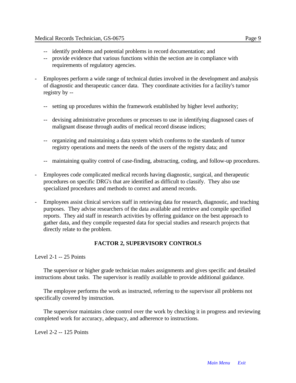- -- identify problems and potential problems in record documentation; and
- -- provide evidence that various functions within the section are in compliance with requirements of regulatory agencies.
- Employees perform a wide range of technical duties involved in the development and analysis of diagnostic and therapeutic cancer data. They coordinate activities for a facility's tumor registry by --
	- -- setting up procedures within the framework established by higher level authority;
	- -- devising administrative procedures or processes to use in identifying diagnosed cases of malignant disease through audits of medical record disease indices;
	- -- organizing and maintaining a data system which conforms to the standards of tumor registry operations and meets the needs of the users of the registry data; and
	- -- maintaining quality control of case-finding, abstracting, coding, and follow-up procedures.
- Employees code complicated medical records having diagnostic, surgical, and therapeutic procedures on specific DRG's that are identified as difficult to classify. They also use specialized procedures and methods to correct and amend records.
- Employees assist clinical services staff in retrieving data for research, diagnostic, and teaching purposes. They advise researchers of the data available and retrieve and compile specified reports. They aid staff in research activities by offering guidance on the best approach to gather data, and they compile requested data for special studies and research projects that directly relate to the problem.

### **FACTOR 2, SUPERVISORY CONTROLS**

Level 2-1 -- 25 Points

The supervisor or higher grade technician makes assignments and gives specific and detailed instructions about tasks. The supervisor is readily available to provide additional guidance.

The employee performs the work as instructed, referring to the supervisor all problems not specifically covered by instruction.

The supervisor maintains close control over the work by checking it in progress and reviewing completed work for accuracy, adequacy, and adherence to instructions.

Level 2-2 -- 125 Points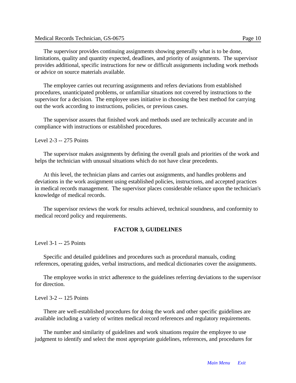The supervisor provides continuing assignments showing generally what is to be done, limitations, quality and quantity expected, deadlines, and priority of assignments. The supervisor provides additional, specific instructions for new or difficult assignments including work methods or advice on source materials available.

The employee carries out recurring assignments and refers deviations from established procedures, unanticipated problems, or unfamiliar situations not covered by instructions to the supervisor for a decision. The employee uses initiative in choosing the best method for carrying out the work according to instructions, policies, or previous cases.

The supervisor assures that finished work and methods used are technically accurate and in compliance with instructions or established procedures.

#### Level 2-3 -- 275 Points

The supervisor makes assignments by defining the overall goals and priorities of the work and helps the technician with unusual situations which do not have clear precedents.

At this level, the technician plans and carries out assignments, and handles problems and deviations in the work assignment using established policies, instructions, and accepted practices in medical records management. The supervisor places considerable reliance upon the technician's knowledge of medical records.

The supervisor reviews the work for results achieved, technical soundness, and conformity to medical record policy and requirements.

#### **FACTOR 3, GUIDELINES**

Level 3-1 -- 25 Points

Specific and detailed guidelines and procedures such as procedural manuals, coding references, operating guides, verbal instructions, and medical dictionaries cover the assignments.

The employee works in strict adherence to the guidelines referring deviations to the supervisor for direction.

Level 3-2 -- 125 Points

There are well-established procedures for doing the work and other specific guidelines are available including a variety of written medical record references and regulatory requirements.

The number and similarity of guidelines and work situations require the employee to use judgment to identify and select the most appropriate guidelines, references, and procedures for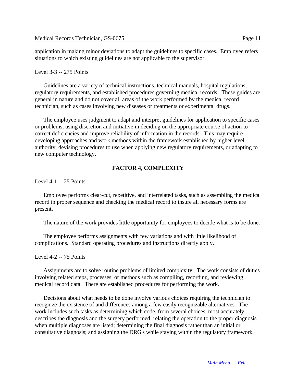application in making minor deviations to adapt the guidelines to specific cases. Employee refers situations to which existing guidelines are not applicable to the supervisor.

#### Level 3-3 -- 275 Points

Guidelines are a variety of technical instructions, technical manuals, hospital regulations, regulatory requirements, and established procedures governing medical records. These guides are general in nature and do not cover all areas of the work performed by the medical record technician, such as cases involving new diseases or treatments or experimental drugs.

The employee uses judgment to adapt and interpret guidelines for application to specific cases or problems, using discretion and initiative in deciding on the appropriate course of action to correct deficiencies and improve reliability of information in the records. This may require developing approaches and work methods within the framework established by higher level authority, devising procedures to use when applying new regulatory requirements, or adapting to new computer technology.

#### **FACTOR 4, COMPLEXITY**

Level 4-1 -- 25 Points

Employee performs clear-cut, repetitive, and interrelated tasks, such as assembling the medical record in proper sequence and checking the medical record to insure all necessary forms are present.

The nature of the work provides little opportunity for employees to decide what is to be done.

The employee performs assignments with few variations and with little likelihood of complications. Standard operating procedures and instructions directly apply.

Level 4-2 -- 75 Points

Assignments are to solve routine problems of limited complexity. The work consists of duties involving related steps, processes, or methods such as compiling, recording, and reviewing medical record data. There are established procedures for performing the work.

Decisions about what needs to be done involve various choices requiring the technician to recognize the existence of and differences among a few easily recognizable alternatives. The work includes such tasks as determining which code, from several choices, most accurately describes the diagnosis and the surgery performed; relating the operation to the proper diagnosis when multiple diagnoses are listed; determining the final diagnosis rather than an initial or consultative diagnosis; and assigning the DRG's while staying within the regulatory framework.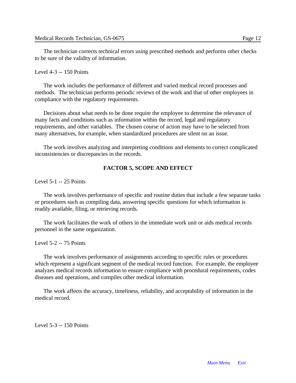The technician corrects technical errors using prescribed methods and performs other checks to be sure of the validity of information.

#### Level 4-3 -- 150 Points

The work includes the performance of different and varied medical record processes and methods. The technician performs periodic reviews of the work and that of other employees in compliance with the regulatory requirements.

Decisions about what needs to be done require the employee to determine the relevance of many facts and conditions such as information within the record, legal and regulatory requirements, and other variables. The chosen course of action may have to be selected from many alternatives, for example, when standardized procedures are silent on an issue.

The work involves analyzing and interpreting conditions and elements to correct complicated inconsistencies or discrepancies in the records.

#### **FACTOR 5, SCOPE AND EFFECT**

Level 5-1 -- 25 Points

The work involves performance of specific and routine duties that include a few separate tasks or procedures such as compiling data, answering specific questions for which information is readily available, filing, or retrieving records.

The work facilitates the work of others in the immediate work unit or aids medical records personnel in the same organization.

Level 5-2 -- 75 Points

The work involves performance of assignments according to specific rules or procedures which represent a significant segment of the medical record function. For example, the employee analyzes medical records information to ensure compliance with procedural requirements, codes diseases and operations, and compiles other medical information.

The work affects the accuracy, timeliness, reliability, and acceptability of information in the medical record.

Level 5-3 -- 150 Points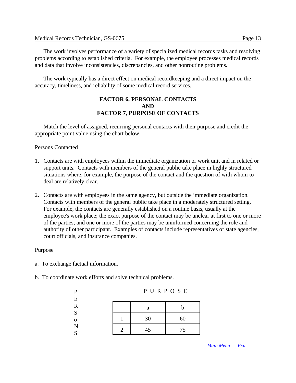The work involves performance of a variety of specialized medical records tasks and resolving problems according to established criteria. For example, the employee processes medical records and data that involve inconsistencies, discrepancies, and other nonroutine problems.

The work typically has a direct effect on medical recordkeeping and a direct impact on the accuracy, timeliness, and reliability of some medical record services.

#### **FACTOR 6, PERSONAL CONTACTS AND FACTOR 7, PURPOSE OF CONTACTS**

Match the level of assigned, recurring personal contacts with their purpose and credit the appropriate point value using the chart below.

Persons Contacted

- 1. Contacts are with employees within the immediate organization or work unit and in related or support units. Contacts with members of the general public take place in highly structured situations where, for example, the purpose of the contact and the question of with whom to deal are relatively clear.
- 2. Contacts are with employees in the same agency, but outside the immediate organization. Contacts with members of the general public take place in a moderately structured setting. For example, the contacts are generally established on a routine basis, usually at the employee's work place; the exact purpose of the contact may be unclear at first to one or more of the parties; and one or more of the parties may be uninformed concerning the role and authority of other participant. Examples of contacts include representatives of state agencies, court officials, and insurance companies.

#### Purpose

a. To exchange factual information.

P E

b. To coordinate work efforts and solve technical problems.

| г           | $1 \circ \cdots \circ \circ \cdots$ |    |    |  |
|-------------|-------------------------------------|----|----|--|
| E           |                                     |    |    |  |
| $\mathbf R$ |                                     | a  |    |  |
| S           |                                     |    |    |  |
| $\mathbf 0$ |                                     | 30 | 60 |  |
| N<br>S      | ∍                                   | 45 | 75 |  |
|             |                                     |    |    |  |

P U R P O S E

*[Main Menu](#page-0-0) [Exit](#page-15-0)*